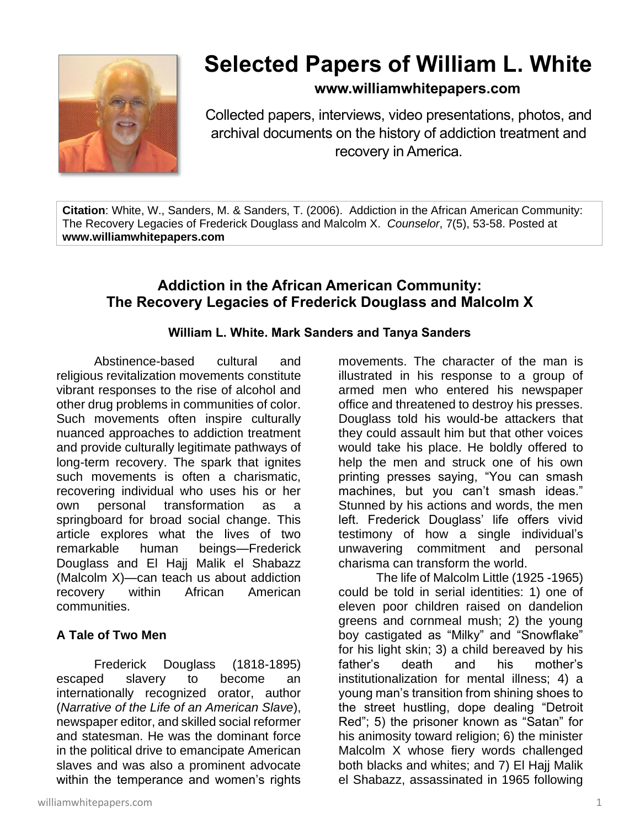

# **Selected Papers of William L. White**

# **www.williamwhitepapers.com**

Collected papers, interviews, video presentations, photos, and archival documents on the history of addiction treatment and recovery in America.

**Citation**: White, W., Sanders, M. & Sanders, T. (2006). Addiction in the African American Community: The Recovery Legacies of Frederick Douglass and Malcolm X. *Counselor*, 7(5), 53-58. Posted at **www.williamwhitepapers.com**

# **Addiction in the African American Community: The Recovery Legacies of Frederick Douglass and Malcolm X**

## **William L. White. Mark Sanders and Tanya Sanders**

Abstinence-based cultural and religious revitalization movements constitute vibrant responses to the rise of alcohol and other drug problems in communities of color. Such movements often inspire culturally nuanced approaches to addiction treatment and provide culturally legitimate pathways of long-term recovery. The spark that ignites such movements is often a charismatic, recovering individual who uses his or her own personal transformation as a springboard for broad social change. This article explores what the lives of two remarkable human beings—Frederick Douglass and El Hajj Malik el Shabazz (Malcolm X)—can teach us about addiction recovery within African American communities.

## **A Tale of Two Men**

Frederick Douglass (1818-1895) escaped slavery to become an internationally recognized orator, author (*Narrative of the Life of an American Slave*), newspaper editor, and skilled social reformer and statesman. He was the dominant force in the political drive to emancipate American slaves and was also a prominent advocate within the temperance and women's rights

williamwhitepapers.com 1

movements. The character of the man is illustrated in his response to a group of armed men who entered his newspaper office and threatened to destroy his presses. Douglass told his would-be attackers that they could assault him but that other voices would take his place. He boldly offered to help the men and struck one of his own printing presses saying, "You can smash machines, but you can't smash ideas." Stunned by his actions and words, the men left. Frederick Douglass' life offers vivid testimony of how a single individual's unwavering commitment and personal charisma can transform the world.

The life of Malcolm Little (1925 -1965) could be told in serial identities: 1) one of eleven poor children raised on dandelion greens and cornmeal mush; 2) the young boy castigated as "Milky" and "Snowflake" for his light skin; 3) a child bereaved by his father's death and his mother's institutionalization for mental illness; 4) a young man's transition from shining shoes to the street hustling, dope dealing "Detroit Red"; 5) the prisoner known as "Satan" for his animosity toward religion; 6) the minister Malcolm X whose fiery words challenged both blacks and whites; and 7) El Hajj Malik el Shabazz, assassinated in 1965 following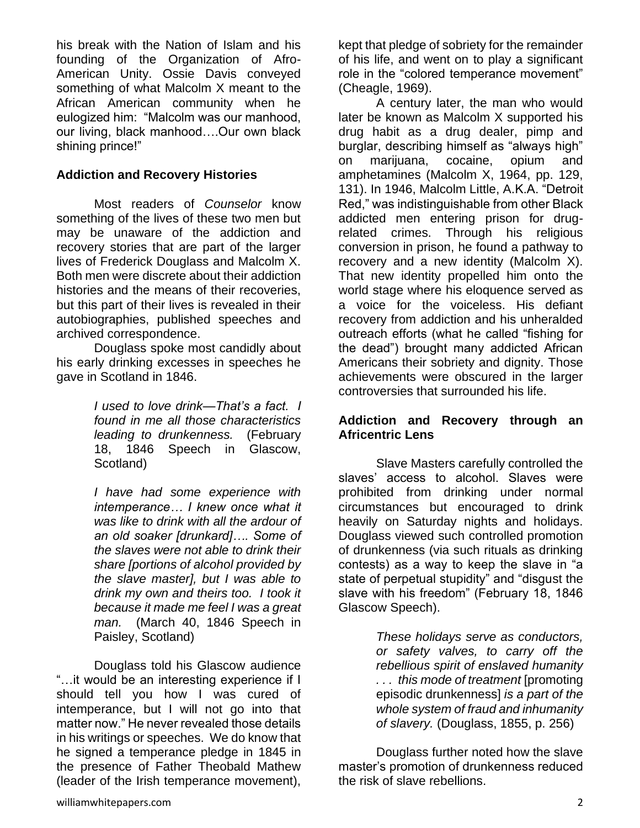his break with the Nation of Islam and his founding of the Organization of Afro-American Unity. Ossie Davis conveyed something of what Malcolm X meant to the African American community when he eulogized him: "Malcolm was our manhood, our living, black manhood….Our own black shining prince!"

#### **Addiction and Recovery Histories**

Most readers of *Counselor* know something of the lives of these two men but may be unaware of the addiction and recovery stories that are part of the larger lives of Frederick Douglass and Malcolm X. Both men were discrete about their addiction histories and the means of their recoveries, but this part of their lives is revealed in their autobiographies, published speeches and archived correspondence.

Douglass spoke most candidly about his early drinking excesses in speeches he gave in Scotland in 1846.

> *I used to love drink—That's a fact. I found in me all those characteristics leading to drunkenness.* (February 18, 1846 Speech in Glascow, Scotland)

> *I have had some experience with intemperance… I knew once what it was like to drink with all the ardour of an old soaker [drunkard]…. Some of the slaves were not able to drink their share [portions of alcohol provided by the slave master], but I was able to drink my own and theirs too. I took it because it made me feel I was a great man.* (March 40, 1846 Speech in Paisley, Scotland)

Douglass told his Glascow audience "…it would be an interesting experience if I should tell you how I was cured of intemperance, but I will not go into that matter now." He never revealed those details in his writings or speeches. We do know that he signed a temperance pledge in 1845 in the presence of Father Theobald Mathew (leader of the Irish temperance movement),

kept that pledge of sobriety for the remainder of his life, and went on to play a significant role in the "colored temperance movement" (Cheagle, 1969).

A century later, the man who would later be known as Malcolm X supported his drug habit as a drug dealer, pimp and burglar, describing himself as "always high" on marijuana, cocaine, opium and amphetamines (Malcolm X, 1964, pp. 129, 131). In 1946, Malcolm Little, A.K.A. "Detroit Red," was indistinguishable from other Black addicted men entering prison for drugrelated crimes. Through his religious conversion in prison, he found a pathway to recovery and a new identity (Malcolm X). That new identity propelled him onto the world stage where his eloquence served as a voice for the voiceless. His defiant recovery from addiction and his unheralded outreach efforts (what he called "fishing for the dead") brought many addicted African Americans their sobriety and dignity. Those achievements were obscured in the larger controversies that surrounded his life.

#### **Addiction and Recovery through an Africentric Lens**

Slave Masters carefully controlled the slaves' access to alcohol. Slaves were prohibited from drinking under normal circumstances but encouraged to drink heavily on Saturday nights and holidays. Douglass viewed such controlled promotion of drunkenness (via such rituals as drinking contests) as a way to keep the slave in "a state of perpetual stupidity" and "disgust the slave with his freedom" (February 18, 1846 Glascow Speech).

> *These holidays serve as conductors, or safety valves, to carry off the rebellious spirit of enslaved humanity . . . this mode of treatment* [promoting episodic drunkenness] *is a part of the whole system of fraud and inhumanity of slavery.* (Douglass, 1855, p. 256)

Douglass further noted how the slave master's promotion of drunkenness reduced the risk of slave rebellions.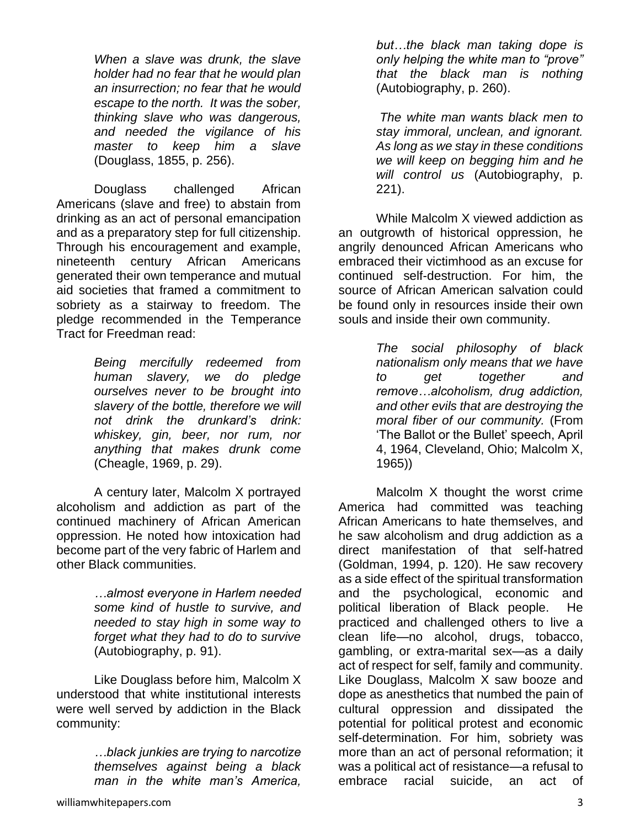*When a slave was drunk, the slave holder had no fear that he would plan an insurrection; no fear that he would escape to the north. It was the sober, thinking slave who was dangerous, and needed the vigilance of his master to keep him a slave* (Douglass, 1855, p. 256).

Douglass challenged African Americans (slave and free) to abstain from drinking as an act of personal emancipation and as a preparatory step for full citizenship. Through his encouragement and example, nineteenth century African Americans generated their own temperance and mutual aid societies that framed a commitment to sobriety as a stairway to freedom. The pledge recommended in the Temperance Tract for Freedman read:

> *Being mercifully redeemed from human slavery, we do pledge ourselves never to be brought into slavery of the bottle, therefore we will not drink the drunkard's drink: whiskey, gin, beer, nor rum, nor anything that makes drunk come*  (Cheagle, 1969, p. 29).

A century later, Malcolm X portrayed alcoholism and addiction as part of the continued machinery of African American oppression. He noted how intoxication had become part of the very fabric of Harlem and other Black communities.

> *…almost everyone in Harlem needed some kind of hustle to survive, and needed to stay high in some way to forget what they had to do to survive*  (Autobiography, p. 91).

Like Douglass before him, Malcolm X understood that white institutional interests were well served by addiction in the Black community:

> *…black junkies are trying to narcotize themselves against being a black man in the white man's America,*

*but…the black man taking dope is only helping the white man to "prove" that the black man is nothing* (Autobiography, p. 260).

*The white man wants black men to stay immoral, unclean, and ignorant. As long as we stay in these conditions we will keep on begging him and he will control us* (Autobiography, p. 221).

While Malcolm X viewed addiction as an outgrowth of historical oppression, he angrily denounced African Americans who embraced their victimhood as an excuse for continued self-destruction. For him, the source of African American salvation could be found only in resources inside their own souls and inside their own community.

> *The social philosophy of black nationalism only means that we have to get together and remove…alcoholism, drug addiction, and other evils that are destroying the moral fiber of our community.* (From 'The Ballot or the Bullet' speech, April 4, 1964, Cleveland, Ohio; Malcolm X, 1965))

Malcolm X thought the worst crime America had committed was teaching African Americans to hate themselves, and he saw alcoholism and drug addiction as a direct manifestation of that self-hatred (Goldman, 1994, p. 120). He saw recovery as a side effect of the spiritual transformation and the psychological, economic and political liberation of Black people. He practiced and challenged others to live a clean life—no alcohol, drugs, tobacco, gambling, or extra-marital sex—as a daily act of respect for self, family and community. Like Douglass, Malcolm X saw booze and dope as anesthetics that numbed the pain of cultural oppression and dissipated the potential for political protest and economic self-determination. For him, sobriety was more than an act of personal reformation; it was a political act of resistance—a refusal to embrace racial suicide, an act of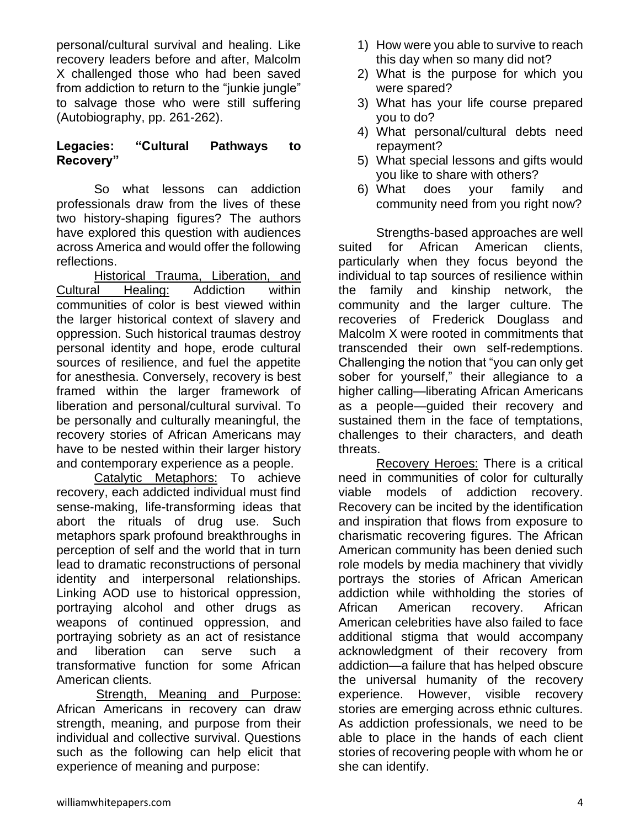personal/cultural survival and healing. Like recovery leaders before and after, Malcolm X challenged those who had been saved from addiction to return to the "junkie jungle" to salvage those who were still suffering (Autobiography, pp. 261-262).

#### **Legacies: "Cultural Pathways to Recovery"**

So what lessons can addiction professionals draw from the lives of these two history-shaping figures? The authors have explored this question with audiences across America and would offer the following reflections.

Historical Trauma, Liberation, and Cultural Healing: Addiction within communities of color is best viewed within the larger historical context of slavery and oppression. Such historical traumas destroy personal identity and hope, erode cultural sources of resilience, and fuel the appetite for anesthesia. Conversely, recovery is best framed within the larger framework of liberation and personal/cultural survival. To be personally and culturally meaningful, the recovery stories of African Americans may have to be nested within their larger history and contemporary experience as a people.

Catalytic Metaphors: To achieve recovery, each addicted individual must find sense-making, life-transforming ideas that abort the rituals of drug use. Such metaphors spark profound breakthroughs in perception of self and the world that in turn lead to dramatic reconstructions of personal identity and interpersonal relationships. Linking AOD use to historical oppression, portraying alcohol and other drugs as weapons of continued oppression, and portraying sobriety as an act of resistance and liberation can serve such a transformative function for some African American clients.

 Strength, Meaning and Purpose: African Americans in recovery can draw strength, meaning, and purpose from their individual and collective survival. Questions such as the following can help elicit that experience of meaning and purpose:

- 1) How were you able to survive to reach this day when so many did not?
- 2) What is the purpose for which you were spared?
- 3) What has your life course prepared you to do?
- 4) What personal/cultural debts need repayment?
- 5) What special lessons and gifts would you like to share with others?
- 6) What does your family and community need from you right now?

Strengths-based approaches are well suited for African American clients, particularly when they focus beyond the individual to tap sources of resilience within the family and kinship network, the community and the larger culture. The recoveries of Frederick Douglass and Malcolm X were rooted in commitments that transcended their own self-redemptions. Challenging the notion that "you can only get sober for yourself," their allegiance to a higher calling—liberating African Americans as a people—guided their recovery and sustained them in the face of temptations, challenges to their characters, and death threats.

Recovery Heroes: There is a critical need in communities of color for culturally viable models of addiction recovery. Recovery can be incited by the identification and inspiration that flows from exposure to charismatic recovering figures. The African American community has been denied such role models by media machinery that vividly portrays the stories of African American addiction while withholding the stories of African American recovery. African American celebrities have also failed to face additional stigma that would accompany acknowledgment of their recovery from addiction—a failure that has helped obscure the universal humanity of the recovery experience. However, visible recovery stories are emerging across ethnic cultures. As addiction professionals, we need to be able to place in the hands of each client stories of recovering people with whom he or she can identify.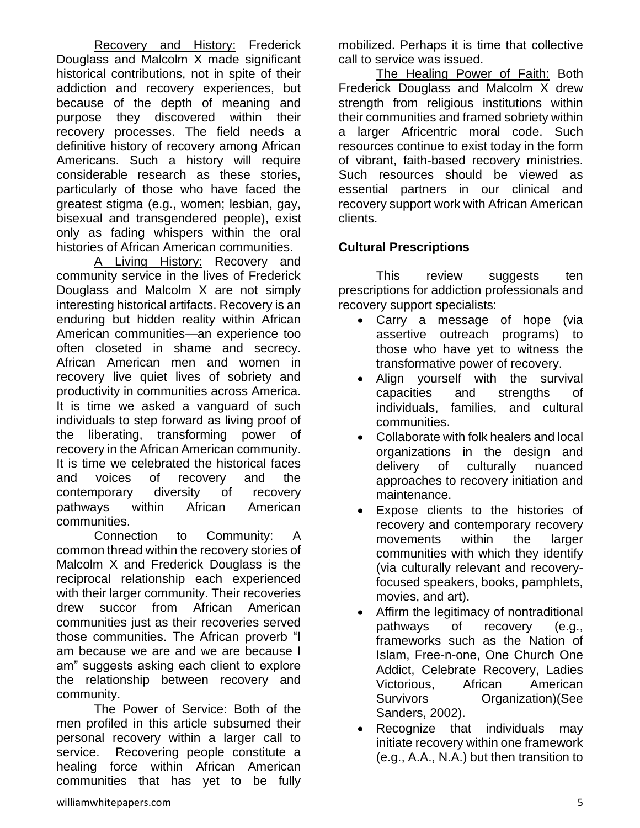Recovery and History: Frederick Douglass and Malcolm X made significant historical contributions, not in spite of their addiction and recovery experiences, but because of the depth of meaning and purpose they discovered within their recovery processes. The field needs a definitive history of recovery among African Americans. Such a history will require considerable research as these stories, particularly of those who have faced the greatest stigma (e.g., women; lesbian, gay, bisexual and transgendered people), exist only as fading whispers within the oral histories of African American communities.

A Living History: Recovery and community service in the lives of Frederick Douglass and Malcolm X are not simply interesting historical artifacts. Recovery is an enduring but hidden reality within African American communities—an experience too often closeted in shame and secrecy. African American men and women in recovery live quiet lives of sobriety and productivity in communities across America. It is time we asked a vanguard of such individuals to step forward as living proof of the liberating, transforming power of recovery in the African American community. It is time we celebrated the historical faces and voices of recovery and the contemporary diversity of recovery pathways within African American communities.

Connection to Community: A common thread within the recovery stories of Malcolm X and Frederick Douglass is the reciprocal relationship each experienced with their larger community. Their recoveries drew succor from African American communities just as their recoveries served those communities. The African proverb "I am because we are and we are because I am" suggests asking each client to explore the relationship between recovery and community.

The Power of Service: Both of the men profiled in this article subsumed their personal recovery within a larger call to service. Recovering people constitute a healing force within African American communities that has yet to be fully

mobilized. Perhaps it is time that collective call to service was issued.

The Healing Power of Faith: Both Frederick Douglass and Malcolm X drew strength from religious institutions within their communities and framed sobriety within a larger Africentric moral code. Such resources continue to exist today in the form of vibrant, faith-based recovery ministries. Such resources should be viewed as essential partners in our clinical and recovery support work with African American clients.

# **Cultural Prescriptions**

This review suggests ten prescriptions for addiction professionals and recovery support specialists:

- Carry a message of hope (via assertive outreach programs) to those who have yet to witness the transformative power of recovery.
- Align yourself with the survival capacities and strengths of individuals, families, and cultural communities.
- Collaborate with folk healers and local organizations in the design and delivery of culturally nuanced approaches to recovery initiation and maintenance.
- Expose clients to the histories of recovery and contemporary recovery movements within the larger communities with which they identify (via culturally relevant and recoveryfocused speakers, books, pamphlets, movies, and art).
- Affirm the legitimacy of nontraditional pathways of recovery (e.g., frameworks such as the Nation of Islam, Free-n-one, One Church One Addict, Celebrate Recovery, Ladies Victorious, African American Survivors Organization)(See Sanders, 2002).
- Recognize that individuals may initiate recovery within one framework (e.g., A.A., N.A.) but then transition to